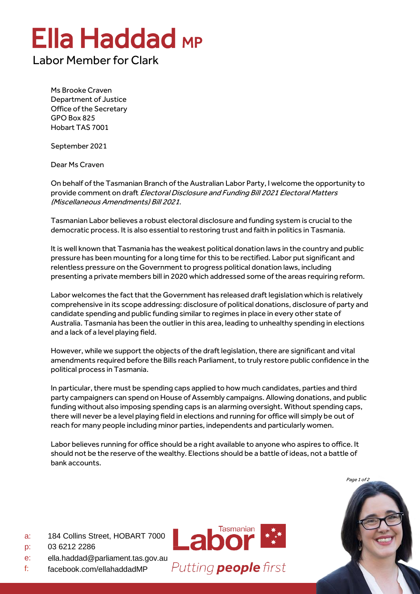## Ella Haddad MP

## Labor Member for Clark

Ms Brooke Craven Department of Justice Office of the Secretary GPO Box 825 Hobart TAS 7001

September 2021

Dear Ms Craven

On behalf of the Tasmanian Branch of the Australian Labor Party, I welcome the opportunity to provide comment on draft Electoral Disclosure and Funding Bill 2021 Electoral Matters (Miscellaneous Amendments) Bill 2021.

Tasmanian Labor believes a robust electoral disclosure and funding system is crucial to the democratic process. It is also essential to restoring trust and faith in politics in Tasmania.

It is well known that Tasmania has the weakest political donation laws in the country and public pressure has been mounting for a long time for this to be rectified. Labor put significant and relentless pressure on the Government to progress political donation laws, including presenting a private members bill in 2020 which addressed some of the areas requiring reform.

Labor welcomes the fact that the Government has released draft legislation which is relatively comprehensive in its scope addressing: disclosure of political donations, disclosure of party and candidate spending and public funding similar to regimes in place in every other state of Australia. Tasmania has been the outlier in this area, leading to unhealthy spending in elections and a lack of a level playing field.

However, while we support the objects of the draft legislation, there are significant and vital amendments required before the Bills reach Parliament, to truly restore public confidence in the political process in Tasmania.

In particular, there must be spending caps applied to how much candidates, parties and third party campaigners can spend on House of Assembly campaigns. Allowing donations, and public funding without also imposing spending caps is an alarming oversight. Without spending caps, there will never be a level playing field in elections and running for office will simply be out of reach for many people including minor parties, independents and particularly women.

Labor believes running for office should be a right available to anyone who aspires to office. It should not be the reserve of the wealthy. Elections should be a battle of ideas, not a battle of bank accounts.



- a: 184 Collins Street, HOBART 7000
- p: 03 6212 2286
- e: [ella.haddad@parliament.tas.gov.au](mailto:ella.haddad@parliament.tas.gov.au)
- f: facebook.com/ellahaddadMP